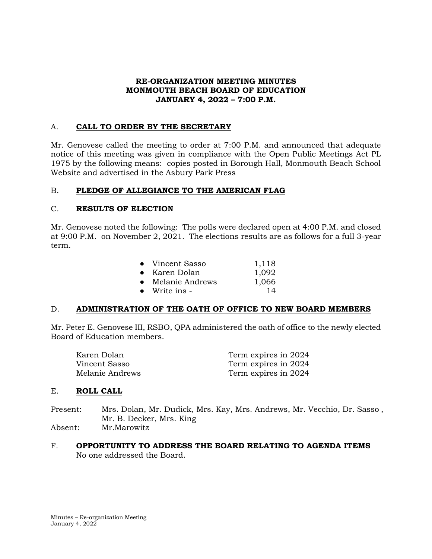### **RE-ORGANIZATION MEETING MINUTES MONMOUTH BEACH BOARD OF EDUCATION JANUARY 4, 2022 – 7:00 P.M.**

### A. **CALL TO ORDER BY THE SECRETARY**

Mr. Genovese called the meeting to order at 7:00 P.M. and announced that adequate notice of this meeting was given in compliance with the Open Public Meetings Act PL 1975 by the following means: copies posted in Borough Hall, Monmouth Beach School Website and advertised in the Asbury Park Press

### B. **PLEDGE OF ALLEGIANCE TO THE AMERICAN FLAG**

### C. **RESULTS OF ELECTION**

Mr. Genovese noted the following: The polls were declared open at 4:00 P.M. and closed at 9:00 P.M. on November 2, 2021. The elections results are as follows for a full 3-year term.

|           | • Vincent Sasso | 1,118 |
|-----------|-----------------|-------|
|           | • Karen Dolan   | 1,092 |
| $\bullet$ | Melanie Andrews | 1,066 |
| $\bullet$ | Write ins -     | 14    |
|           |                 |       |

#### D. **ADMINISTRATION OF THE OATH OF OFFICE TO NEW BOARD MEMBERS**

Mr. Peter E. Genovese III, RSBO, QPA administered the oath of office to the newly elected Board of Education members.

| Karen Dolan     | Term expires in 2024 |
|-----------------|----------------------|
| Vincent Sasso   | Term expires in 2024 |
| Melanie Andrews | Term expires in 2024 |

#### E. **ROLL CALL**

- Present: Mrs. Dolan, Mr. Dudick, Mrs. Kay, Mrs. Andrews, Mr. Vecchio, Dr. Sasso , Mr. B. Decker, Mrs. King Absent: Mr.Marowitz
- F. **OPPORTUNITY TO ADDRESS THE BOARD RELATING TO AGENDA ITEMS** No one addressed the Board.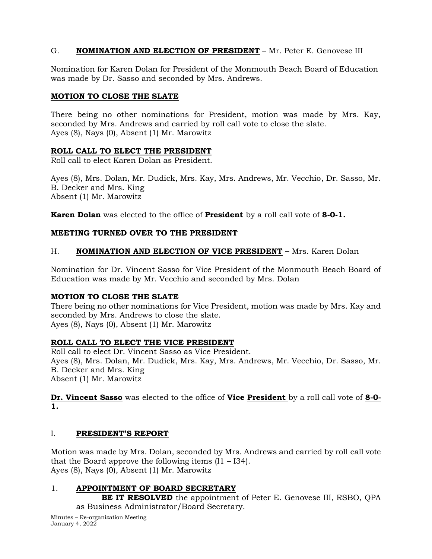# G. **NOMINATION AND ELECTION OF PRESIDENT** – Mr. Peter E. Genovese III

Nomination for Karen Dolan for President of the Monmouth Beach Board of Education was made by Dr. Sasso and seconded by Mrs. Andrews.

### **MOTION TO CLOSE THE SLATE**

There being no other nominations for President, motion was made by Mrs. Kay, seconded by Mrs. Andrews and carried by roll call vote to close the slate. Ayes (8), Nays (0), Absent (1) Mr. Marowitz

### **ROLL CALL TO ELECT THE PRESIDENT**

Roll call to elect Karen Dolan as President.

Ayes (8), Mrs. Dolan, Mr. Dudick, Mrs. Kay, Mrs. Andrews, Mr. Vecchio, Dr. Sasso, Mr. B. Decker and Mrs. King Absent (1) Mr. Marowitz

**Karen Dolan** was elected to the office of **President** by a roll call vote of **8-0-1.**

# **MEETING TURNED OVER TO THE PRESIDENT**

# H. **NOMINATION AND ELECTION OF VICE PRESIDENT –** Mrs. Karen Dolan

Nomination for Dr. Vincent Sasso for Vice President of the Monmouth Beach Board of Education was made by Mr. Vecchio and seconded by Mrs. Dolan

# **MOTION TO CLOSE THE SLATE**

There being no other nominations for Vice President, motion was made by Mrs. Kay and seconded by Mrs. Andrews to close the slate. Ayes (8), Nays (0), Absent (1) Mr. Marowitz

# **ROLL CALL TO ELECT THE VICE PRESIDENT**

Roll call to elect Dr. Vincent Sasso as Vice President. Ayes (8), Mrs. Dolan, Mr. Dudick, Mrs. Kay, Mrs. Andrews, Mr. Vecchio, Dr. Sasso, Mr. B. Decker and Mrs. King Absent (1) Mr. Marowitz

**Dr. Vincent Sasso** was elected to the office of **Vice President** by a roll call vote of **8-0- 1.**

# I. **PRESIDENT'S REPORT**

Motion was made by Mrs. Dolan, seconded by Mrs. Andrews and carried by roll call vote that the Board approve the following items  $(I1 - I34)$ . Ayes (8), Nays (0), Absent (1) Mr. Marowitz

# 1. **APPOINTMENT OF BOARD SECRETARY**

**BE IT RESOLVED** the appointment of Peter E. Genovese III, RSBO, QPA as Business Administrator/Board Secretary.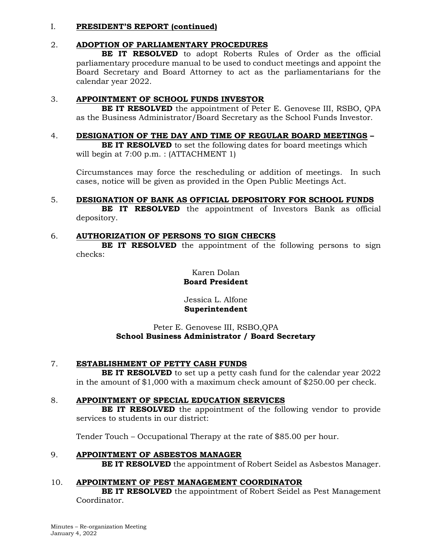# 2. **ADOPTION OF PARLIAMENTARY PROCEDURES**

**BE IT RESOLVED** to adopt Roberts Rules of Order as the official parliamentary procedure manual to be used to conduct meetings and appoint the Board Secretary and Board Attorney to act as the parliamentarians for the calendar year 2022.

# 3. **APPOINTMENT OF SCHOOL FUNDS INVESTOR**

**BE IT RESOLVED** the appointment of Peter E. Genovese III, RSBO, QPA as the Business Administrator/Board Secretary as the School Funds Investor.

# 4. **DESIGNATION OF THE DAY AND TIME OF REGULAR BOARD MEETINGS –**

**BE IT RESOLVED** to set the following dates for board meetings which will begin at 7:00 p.m. : (ATTACHMENT 1)

Circumstances may force the rescheduling or addition of meetings. In such cases, notice will be given as provided in the Open Public Meetings Act.

# 5. **DESIGNATION OF BANK AS OFFICIAL DEPOSITORY FOR SCHOOL FUNDS**

**BE IT RESOLVED** the appointment of Investors Bank as official depository.

# 6. **AUTHORIZATION OF PERSONS TO SIGN CHECKS**

**BE IT RESOLVED** the appointment of the following persons to sign checks:

> Karen Dolan **Board President**

> Jessica L. Alfone **Superintendent**

# Peter E. Genovese III, RSBO,QPA **School Business Administrator / Board Secretary**

# 7. **ESTABLISHMENT OF PETTY CASH FUNDS**

**BE IT RESOLVED** to set up a petty cash fund for the calendar year 2022 in the amount of \$1,000 with a maximum check amount of \$250.00 per check.

# 8. **APPOINTMENT OF SPECIAL EDUCATION SERVICES**

**BE IT RESOLVED** the appointment of the following vendor to provide services to students in our district:

Tender Touch – Occupational Therapy at the rate of \$85.00 per hour.

# 9. **APPOINTMENT OF ASBESTOS MANAGER**

**BE IT RESOLVED** the appointment of Robert Seidel as Asbestos Manager.

# 10. **APPOINTMENT OF PEST MANAGEMENT COORDINATOR**

**BE IT RESOLVED** the appointment of Robert Seidel as Pest Management Coordinator.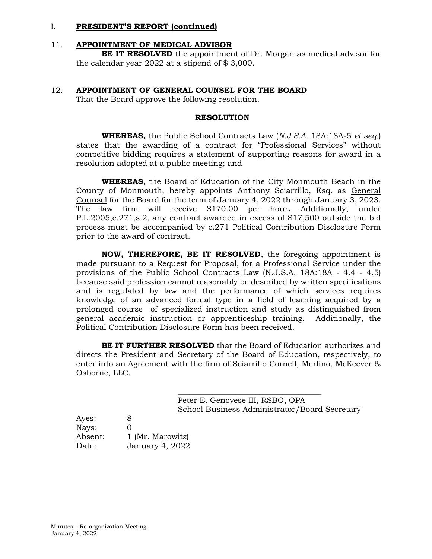### 11. **APPOINTMENT OF MEDICAL ADVISOR**

**BE IT RESOLVED** the appointment of Dr. Morgan as medical advisor for the calendar year 2022 at a stipend of \$ 3,000.

#### 12. **APPOINTMENT OF GENERAL COUNSEL FOR THE BOARD**

That the Board approve the following resolution.

#### **RESOLUTION**

**WHEREAS,** the Public School Contracts Law (*N.J.S.A.* 18A:18A-5 *et seq.*) states that the awarding of a contract for "Professional Services" without competitive bidding requires a statement of supporting reasons for award in a resolution adopted at a public meeting; and

**WHEREAS**, the Board of Education of the City Monmouth Beach in the County of Monmouth, hereby appoints Anthony Sciarrillo, Esq. as General Counsel for the Board for the term of January 4, 2022 through January 3, 2023. The law firm will receive \$170.00 per hour**.** Additionally, under P.L.2005,c.271,s.2, any contract awarded in excess of \$17,500 outside the bid process must be accompanied by c.271 Political Contribution Disclosure Form prior to the award of contract.

**NOW, THEREFORE, BE IT RESOLVED**, the foregoing appointment is made pursuant to a Request for Proposal, for a Professional Service under the provisions of the Public School Contracts Law (N.J.S.A. 18A:18A - 4.4 - 4.5) because said profession cannot reasonably be described by written specifications and is regulated by law and the performance of which services requires knowledge of an advanced formal type in a field of learning acquired by a prolonged course of specialized instruction and study as distinguished from general academic instruction or apprenticeship training. Additionally, the Political Contribution Disclosure Form has been received.

**BE IT FURTHER RESOLVED** that the Board of Education authorizes and directs the President and Secretary of the Board of Education, respectively, to enter into an Agreement with the firm of Sciarrillo Cornell, Merlino, McKeever & Osborne, LLC.

> \_\_\_\_\_\_\_\_\_\_\_\_\_\_\_\_\_\_\_\_\_\_\_\_\_\_\_\_\_\_\_\_\_\_\_\_\_ Peter E. Genovese III, RSBO, QPA School Business Administrator/Board Secretary

| Ayes:   | 8                |
|---------|------------------|
| Nays:   | $\mathcal{L}$    |
| Absent: | 1 (Mr. Marowitz) |
| Date:   | January 4, 2022  |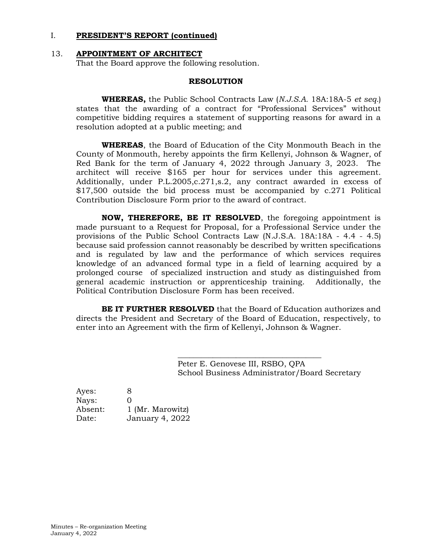#### 13. **APPOINTMENT OF ARCHITECT**

That the Board approve the following resolution.

#### **RESOLUTION**

**WHEREAS,** the Public School Contracts Law (*N.J.S.A.* 18A:18A-5 *et seq.*) states that the awarding of a contract for "Professional Services" without competitive bidding requires a statement of supporting reasons for award in a resolution adopted at a public meeting; and

**WHEREAS**, the Board of Education of the City Monmouth Beach in the County of Monmouth, hereby appoints the firm Kellenyi, Johnson & Wagner, of Red Bank for the term of January 4, 2022 through January 3, 2023. The architect will receive \$165 per hour for services under this agreement. Additionally, under P.L.2005,c.271,s.2, any contract awarded in excess of \$17,500 outside the bid process must be accompanied by c.271 Political Contribution Disclosure Form prior to the award of contract.

**NOW, THEREFORE, BE IT RESOLVED**, the foregoing appointment is made pursuant to a Request for Proposal, for a Professional Service under the provisions of the Public School Contracts Law (N.J.S.A. 18A:18A - 4.4 - 4.5) because said profession cannot reasonably be described by written specifications and is regulated by law and the performance of which services requires knowledge of an advanced formal type in a field of learning acquired by a prolonged course of specialized instruction and study as distinguished from general academic instruction or apprenticeship training. Additionally, the Political Contribution Disclosure Form has been received.

**BE IT FURTHER RESOLVED** that the Board of Education authorizes and directs the President and Secretary of the Board of Education, respectively, to enter into an Agreement with the firm of Kellenyi, Johnson & Wagner.

> Peter E. Genovese III, RSBO, QPA School Business Administrator/Board Secretary

\_\_\_\_\_\_\_\_\_\_\_\_\_\_\_\_\_\_\_\_\_\_\_\_\_\_\_\_\_\_\_\_\_\_\_\_\_

| Ayes:   | 8                |
|---------|------------------|
| Nays:   | 0                |
| Absent: | 1 (Mr. Marowitz) |
| Date:   | January 4, 2022  |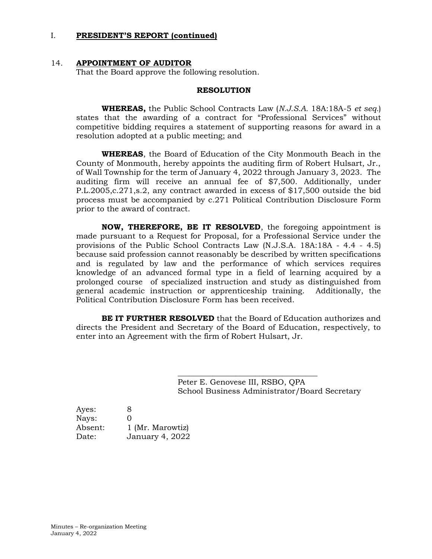#### 14. **APPOINTMENT OF AUDITOR**

That the Board approve the following resolution.

#### **RESOLUTION**

**WHEREAS,** the Public School Contracts Law (*N.J.S.A.* 18A:18A-5 *et seq.*) states that the awarding of a contract for "Professional Services" without competitive bidding requires a statement of supporting reasons for award in a resolution adopted at a public meeting; and

**WHEREAS**, the Board of Education of the City Monmouth Beach in the County of Monmouth, hereby appoints the auditing firm of Robert Hulsart, Jr., of Wall Township for the term of January 4, 2022 through January 3, 2023. The auditing firm will receive an annual fee of \$7,500. Additionally, under P.L.2005,c.271,s.2, any contract awarded in excess of \$17,500 outside the bid process must be accompanied by c.271 Political Contribution Disclosure Form prior to the award of contract.

**NOW, THEREFORE, BE IT RESOLVED**, the foregoing appointment is made pursuant to a Request for Proposal, for a Professional Service under the provisions of the Public School Contracts Law (N.J.S.A. 18A:18A - 4.4 - 4.5) because said profession cannot reasonably be described by written specifications and is regulated by law and the performance of which services requires knowledge of an advanced formal type in a field of learning acquired by a prolonged course of specialized instruction and study as distinguished from general academic instruction or apprenticeship training. Additionally, the Political Contribution Disclosure Form has been received.

**BE IT FURTHER RESOLVED** that the Board of Education authorizes and directs the President and Secretary of the Board of Education, respectively, to enter into an Agreement with the firm of Robert Hulsart, Jr.

> Peter E. Genovese III, RSBO, QPA School Business Administrator/Board Secretary

\_\_\_\_\_\_\_\_\_\_\_\_\_\_\_\_\_\_\_\_\_\_\_\_\_\_\_\_\_\_\_\_\_\_\_\_

| Ayes:   | 8                      |
|---------|------------------------|
| Nays:   | 0                      |
| Absent: | 1 (Mr. Marowtiz)       |
| Date:   | <b>January 4, 2022</b> |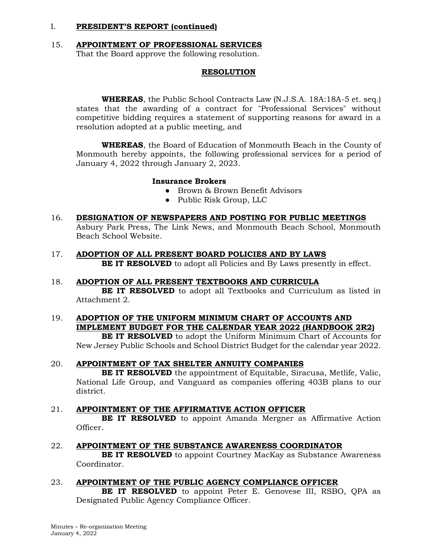### 15. **APPOINTMENT OF PROFESSIONAL SERVICES** That the Board approve the following resolution.

### **RESOLUTION**

 **WHEREAS**, the Public School Contracts Law (N.J.S.A. 18A:18A-5 et. seq.) states that the awarding of a contract for "Professional Services" without competitive bidding requires a statement of supporting reasons for award in a resolution adopted at a public meeting, and

 **WHEREAS**, the Board of Education of Monmouth Beach in the County of Monmouth hereby appoints, the following professional services for a period of January 4, 2022 through January 2, 2023.

#### **Insurance Brokers**

- Brown & Brown Benefit Advisors
- Public Risk Group, LLC
- 16. **DESIGNATION OF NEWSPAPERS AND POSTING FOR PUBLIC MEETINGS** Asbury Park Press, The Link News, and Monmouth Beach School, Monmouth Beach School Website.
- 17. **ADOPTION OF ALL PRESENT BOARD POLICIES AND BY LAWS BE IT RESOLVED** to adopt all Policies and By Laws presently in effect.

#### 18. **ADOPTION OF ALL PRESENT TEXTBOOKS AND CURRICULA**

**BE IT RESOLVED** to adopt all Textbooks and Curriculum as listed in Attachment 2.

# 19. **ADOPTION OF THE UNIFORM MINIMUM CHART OF ACCOUNTS AND IMPLEMENT BUDGET FOR THE CALENDAR YEAR 2022 (HANDBOOK 2R2)**

**BE IT RESOLVED** to adopt the Uniform Minimum Chart of Accounts for New Jersey Public Schools and School District Budget for the calendar year 2022.

#### 20. **APPOINTMENT OF TAX SHELTER ANNUITY COMPANIES**

**BE IT RESOLVED** the appointment of Equitable, Siracusa, Metlife, Valic, National Life Group, and Vanguard as companies offering 403B plans to our district.

#### 21. **APPOINTMENT OF THE AFFIRMATIVE ACTION OFFICER**

**BE IT RESOLVED** to appoint Amanda Mergner as Affirmative Action Officer.

#### 22. **APPOINTMENT OF THE SUBSTANCE AWARENESS COORDINATOR**

**BE IT RESOLVED** to appoint Courtney MacKay as Substance Awareness Coordinator.

# 23. **APPOINTMENT OF THE PUBLIC AGENCY COMPLIANCE OFFICER**

**BE IT RESOLVED** to appoint Peter E. Genovese III, RSBO, QPA as Designated Public Agency Compliance Officer.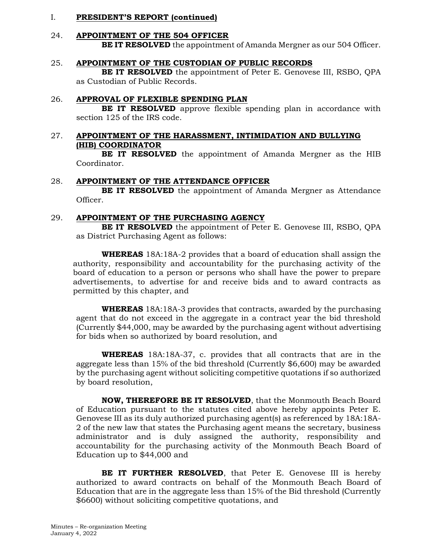# 24. **APPOINTMENT OF THE 504 OFFICER**

**BE IT RESOLVED** the appointment of Amanda Mergner as our 504 Officer.

#### 25. **APPOINTMENT OF THE CUSTODIAN OF PUBLIC RECORDS**

**BE IT RESOLVED** the appointment of Peter E. Genovese III, RSBO, QPA as Custodian of Public Records.

#### 26. **APPROVAL OF FLEXIBLE SPENDING PLAN**

**BE IT RESOLVED** approve flexible spending plan in accordance with section 125 of the IRS code.

### 27. **APPOINTMENT OF THE HARASSMENT, INTIMIDATION AND BULLYING (HIB) COORDINATOR**

**BE IT RESOLVED** the appointment of Amanda Mergner as the HIB Coordinator.

#### 28. **APPOINTMENT OF THE ATTENDANCE OFFICER**

**BE IT RESOLVED** the appointment of Amanda Mergner as Attendance Officer.

#### 29. **APPOINTMENT OF THE PURCHASING AGENCY**

**BE IT RESOLVED** the appointment of Peter E. Genovese III, RSBO, QPA as District Purchasing Agent as follows:

**WHEREAS** 18A:18A-2 provides that a board of education shall assign the authority, responsibility and accountability for the purchasing activity of the board of education to a person or persons who shall have the power to prepare advertisements, to advertise for and receive bids and to award contracts as permitted by this chapter, and

**WHEREAS** 18A:18A-3 provides that contracts, awarded by the purchasing agent that do not exceed in the aggregate in a contract year the bid threshold (Currently \$44,000, may be awarded by the purchasing agent without advertising for bids when so authorized by board resolution, and

**WHEREAS** 18A:18A-37, c. provides that all contracts that are in the aggregate less than 15% of the bid threshold (Currently \$6,600) may be awarded by the purchasing agent without soliciting competitive quotations if so authorized by board resolution,

**NOW, THEREFORE BE IT RESOLVED**, that the Monmouth Beach Board of Education pursuant to the statutes cited above hereby appoints Peter E. Genovese III as its duly authorized purchasing agent(s) as referenced by 18A:18A-2 of the new law that states the Purchasing agent means the secretary, business administrator and is duly assigned the authority, responsibility and accountability for the purchasing activity of the Monmouth Beach Board of Education up to \$44,000 and

**BE IT FURTHER RESOLVED**, that Peter E. Genovese III is hereby authorized to award contracts on behalf of the Monmouth Beach Board of Education that are in the aggregate less than 15% of the Bid threshold (Currently \$6600) without soliciting competitive quotations, and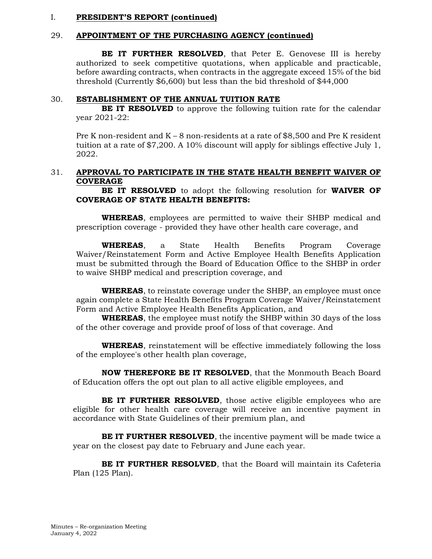#### 29. **APPOINTMENT OF THE PURCHASING AGENCY (continued)**

**BE IT FURTHER RESOLVED**, that Peter E. Genovese III is hereby authorized to seek competitive quotations, when applicable and practicable, before awarding contracts, when contracts in the aggregate exceed 15% of the bid threshold (Currently \$6,600) but less than the bid threshold of \$44,000

#### 30. **ESTABLISHMENT OF THE ANNUAL TUITION RATE**

**BE IT RESOLVED** to approve the following tuition rate for the calendar year 2021-22:

Pre K non-resident and  $K - 8$  non-residents at a rate of \$8,500 and Pre K resident tuition at a rate of \$7,200. A 10% discount will apply for siblings effective July 1, 2022.

### 31. **APPROVAL TO PARTICIPATE IN THE STATE HEALTH BENEFIT WAIVER OF COVERAGE**

**BE IT RESOLVED** to adopt the following resolution for **WAIVER OF COVERAGE OF STATE HEALTH BENEFITS:**

**WHEREAS**, employees are permitted to waive their SHBP medical and prescription coverage - provided they have other health care coverage, and

**WHEREAS**, a State Health Benefits Program Coverage Waiver/Reinstatement Form and Active Employee Health Benefits Application must be submitted through the Board of Education Office to the SHBP in order to waive SHBP medical and prescription coverage, and

**WHEREAS**, to reinstate coverage under the SHBP, an employee must once again complete a State Health Benefits Program Coverage Waiver/Reinstatement Form and Active Employee Health Benefits Application, and

**WHEREAS**, the employee must notify the SHBP within 30 days of the loss of the other coverage and provide proof of loss of that coverage. And

**WHEREAS**, reinstatement will be effective immediately following the loss of the employee's other health plan coverage,

**NOW THEREFORE BE IT RESOLVED**, that the Monmouth Beach Board of Education offers the opt out plan to all active eligible employees, and

**BE IT FURTHER RESOLVED**, those active eligible employees who are eligible for other health care coverage will receive an incentive payment in accordance with State Guidelines of their premium plan, and

BE IT FURTHER RESOLVED, the incentive payment will be made twice a year on the closest pay date to February and June each year.

**BE IT FURTHER RESOLVED**, that the Board will maintain its Cafeteria Plan (125 Plan).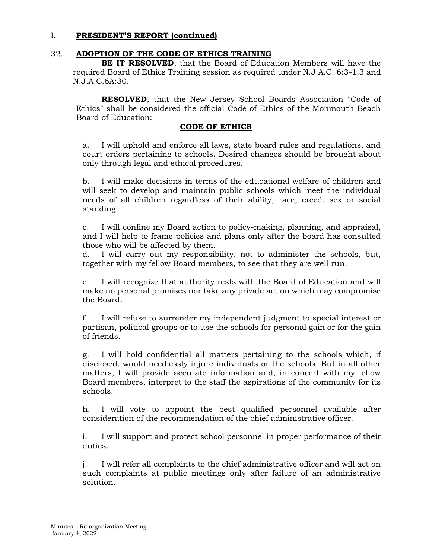### 32. **ADOPTION OF THE CODE OF ETHICS TRAINING**

**BE IT RESOLVED**, that the Board of Education Members will have the required Board of Ethics Training session as required under N.J.A.C. 6:3-1.3 and N.J.A.C.6A:30.

**RESOLVED**, that the New Jersey School Boards Association "Code of Ethics" shall be considered the official Code of Ethics of the Monmouth Beach Board of Education:

#### **CODE OF ETHICS**

a. I will uphold and enforce all laws, state board rules and regulations, and court orders pertaining to schools. Desired changes should be brought about only through legal and ethical procedures.

b. I will make decisions in terms of the educational welfare of children and will seek to develop and maintain public schools which meet the individual needs of all children regardless of their ability, race, creed, sex or social standing.

c. I will confine my Board action to policy-making, planning, and appraisal, and I will help to frame policies and plans only after the board has consulted those who will be affected by them.

d. I will carry out my responsibility, not to administer the schools, but, together with my fellow Board members, to see that they are well run.

e. I will recognize that authority rests with the Board of Education and will make no personal promises nor take any private action which may compromise the Board.

f. I will refuse to surrender my independent judgment to special interest or partisan, political groups or to use the schools for personal gain or for the gain of friends.

g. I will hold confidential all matters pertaining to the schools which, if disclosed, would needlessly injure individuals or the schools. But in all other matters, I will provide accurate information and, in concert with my fellow Board members, interpret to the staff the aspirations of the community for its schools.

h. I will vote to appoint the best qualified personnel available after consideration of the recommendation of the chief administrative officer.

i. I will support and protect school personnel in proper performance of their duties.

j. I will refer all complaints to the chief administrative officer and will act on such complaints at public meetings only after failure of an administrative solution.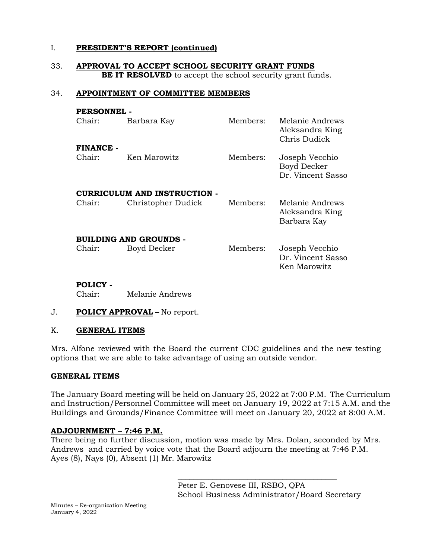#### 33. **APPROVAL TO ACCEPT SCHOOL SECURITY GRANT FUNDS BE IT RESOLVED** to accept the school security grant funds.

### 34. **APPOINTMENT OF COMMITTEE MEMBERS**

| <b>PERSONNEL -</b>                  |                    |          |                                                     |  |  |  |  |
|-------------------------------------|--------------------|----------|-----------------------------------------------------|--|--|--|--|
| Chair:                              | Barbara Kay        | Members: | Melanie Andrews<br>Aleksandra King<br>Chris Dudick  |  |  |  |  |
| FINANCE -                           |                    |          |                                                     |  |  |  |  |
| Chair:                              | Ken Marowitz       | Members: | Joseph Vecchio<br>Boyd Decker<br>Dr. Vincent Sasso  |  |  |  |  |
| <b>CURRICULUM AND INSTRUCTION -</b> |                    |          |                                                     |  |  |  |  |
| Chair:                              | Christopher Dudick | Members: | Melanie Andrews<br>Aleksandra King<br>Barbara Kay   |  |  |  |  |
| <b>BUILDING AND GROUNDS -</b>       |                    |          |                                                     |  |  |  |  |
| Chair:                              | Boyd Decker        | Members: | Joseph Vecchio<br>Dr. Vincent Sasso<br>Ken Marowitz |  |  |  |  |

# **POLICY -**

Chair: Melanie Andrews

#### J. **POLICY APPROVAL** – No report.

#### K. **GENERAL ITEMS**

Mrs. Alfone reviewed with the Board the current CDC guidelines and the new testing options that we are able to take advantage of using an outside vendor.

#### **GENERAL ITEMS**

The January Board meeting will be held on January 25, 2022 at 7:00 P.M. The Curriculum and Instruction/Personnel Committee will meet on January 19, 2022 at 7:15 A.M. and the Buildings and Grounds/Finance Committee will meet on January 20, 2022 at 8:00 A.M.

#### **ADJOURNMENT – 7:46 P.M.**

There being no further discussion, motion was made by Mrs. Dolan, seconded by Mrs. Andrews and carried by voice vote that the Board adjourn the meeting at 7:46 P.M. Ayes (8), Nays (0), Absent (1) Mr. Marowitz

> Peter E. Genovese III, RSBO, QPA School Business Administrator/Board Secretary

\_\_\_\_\_\_\_\_\_\_\_\_\_\_\_\_\_\_\_\_\_\_\_\_\_\_\_\_\_\_\_\_\_\_\_\_\_\_\_\_\_